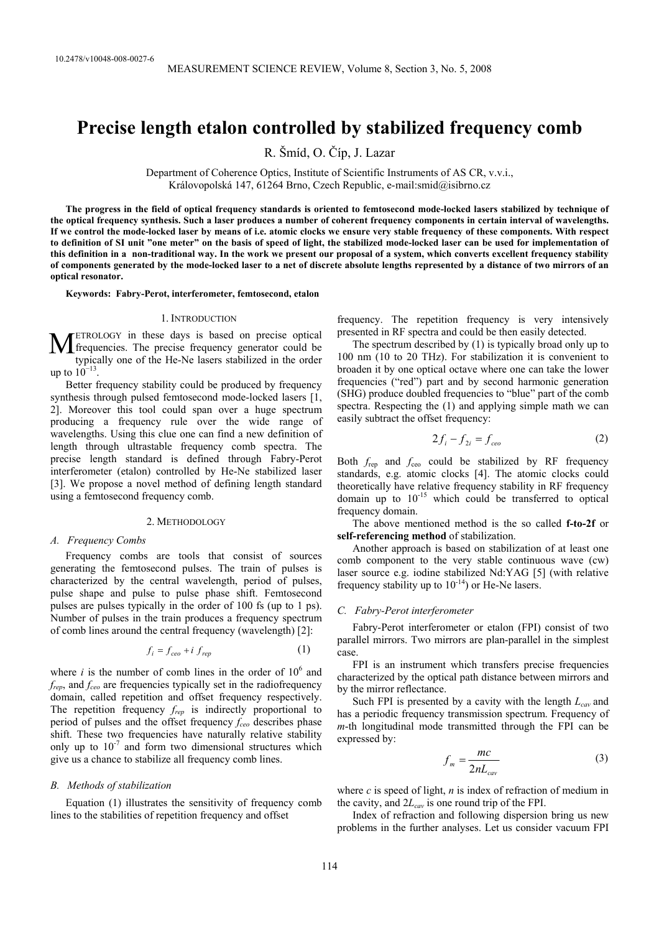# **Precise length etalon controlled by stabilized frequency comb**

R. Šmíd, O. Číp, J. Lazar

Department of Coherence Optics, Institute of Scientific Instruments of AS CR, v.v.i., Královopolská 147, 61264 Brno, Czech Republic, e-mail:smid@isibrno.cz

**The progress in the field of optical frequency standards is oriented to femtosecond mode-locked lasers stabilized by technique of the optical frequency synthesis. Such a laser produces a number of coherent frequency components in certain interval of wavelengths. If we control the mode-locked laser by means of i.e. atomic clocks we ensure very stable frequency of these components. With respect to definition of SI unit "one meter" on the basis of speed of light, the stabilized mode-locked laser can be used for implementation of this definition in a non-traditional way. In the work we present our proposal of a system, which converts excellent frequency stability of components generated by the mode-locked laser to a net of discrete absolute lengths represented by a distance of two mirrors of an optical resonator.** 

**Keywords: Fabry-Perot, interferometer, femtosecond, etalon** 

#### 1. INTRODUCTION

ETROLOGY in these days is based on precise optical  $\mathbf{M}$  ETROLOGY in these days is based on precise optical frequencies. The precise frequency generator could be the minimum of the He Ma laser stabilized in the arder typically one of the He-Ne lasers stabilized in the order up to  $10^{-13}$ .

Better frequency stability could be produced by frequency synthesis through pulsed femtosecond mode-locked lasers [1, 2]. Moreover this tool could span over a huge spectrum producing a frequency rule over the wide range of wavelengths. Using this clue one can find a new definition of length through ultrastable frequency comb spectra. The precise length standard is defined through Fabry-Perot interferometer (etalon) controlled by He-Ne stabilized laser [3]. We propose a novel method of defining length standard using a femtosecond frequency comb.

#### 2. METHODOLOGY

# *A. Frequency Combs*

Frequency combs are tools that consist of sources generating the femtosecond pulses. The train of pulses is characterized by the central wavelength, period of pulses, pulse shape and pulse to pulse phase shift. Femtosecond pulses are pulses typically in the order of 100 fs (up to 1 ps). Number of pulses in the train produces a frequency spectrum of comb lines around the central frequency (wavelength) [2]:

$$
f_i = f_{ceo} + i f_{rep} \tag{1}
$$

where  $i$  is the number of comb lines in the order of  $10^6$  and *frep*, and *fceo* are frequencies typically set in the radiofrequency domain, called repetition and offset frequency respectively. The repetition frequency  $f_{rep}$  is indirectly proportional to period of pulses and the offset frequency  $f_{ceo}$  describes phase shift. These two frequencies have naturally relative stability only up to  $10^{-7}$  and form two dimensional structures which give us a chance to stabilize all frequency comb lines.

## *B. Methods of stabilization*

Equation (1) illustrates the sensitivity of frequency comb lines to the stabilities of repetition frequency and offset

frequency. The repetition frequency is very intensively presented in RF spectra and could be then easily detected.

The spectrum described by (1) is typically broad only up to 100 nm (10 to 20 THz). For stabilization it is convenient to broaden it by one optical octave where one can take the lower frequencies ("red") part and by second harmonic generation (SHG) produce doubled frequencies to "blue" part of the comb spectra. Respecting the (1) and applying simple math we can easily subtract the offset frequency:

$$
2f_i - f_{2i} = f_{ceo} \tag{2}
$$

Both  $f_{\text{rep}}$  and  $f_{\text{ceo}}$  could be stabilized by RF frequency standards, e.g. atomic clocks [4]. The atomic clocks could theoretically have relative frequency stability in RF frequency domain up to  $10^{-15}$  which could be transferred to optical frequency domain.

The above mentioned method is the so called **f-to-2f** or **self-referencing method** of stabilization.

Another approach is based on stabilization of at least one comb component to the very stable continuous wave (cw) laser source e.g. iodine stabilized Nd:YAG [5] (with relative frequency stability up to  $10^{-14}$ ) or He-Ne lasers.

# *C. Fabry-Perot interferometer*

Fabry-Perot interferometer or etalon (FPI) consist of two parallel mirrors. Two mirrors are plan-parallel in the simplest case.

FPI is an instrument which transfers precise frequencies characterized by the optical path distance between mirrors and by the mirror reflectance.

Such FPI is presented by a cavity with the length  $L_{cav}$  and has a periodic frequency transmission spectrum. Frequency of *m*-th longitudinal mode transmitted through the FPI can be expressed by:

$$
f_m = \frac{mc}{2nL_{cav}}\tag{3}
$$

where *c* is speed of light, *n* is index of refraction of medium in the cavity, and  $2L_{cav}$  is one round trip of the FPI.

Index of refraction and following dispersion bring us new problems in the further analyses. Let us consider vacuum FPI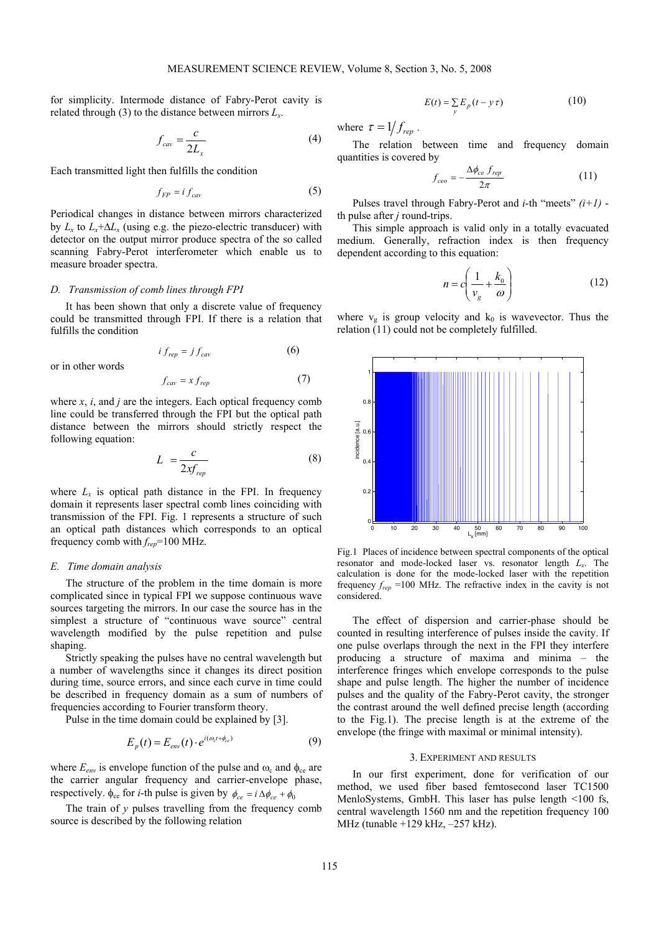for simplicity. Intermode distance of Fabry-Perot cavity is related through (3) to the distance between mirrors  $L<sub>x</sub>$ .

$$
f_{cav} = \frac{c}{2L_x} \tag{4}
$$

Each transmitted light then fulfills the condition

$$
f_{FP} = i f_{cav} \tag{5}
$$

Periodical changes in distance between mirrors characterized by  $L_x$  to  $L_x + \Delta L_x$  (using e.g. the piezo-electric transducer) with detector on the output mirror produce spectra of the so called scanning Fabry-Perot interferometer which enable us to measure broader spectra.

## *D. Transmission of comb lines through FPI*

It has been shown that only a discrete value of frequency could be transmitted through FPI. If there is a relation that fulfills the condition

$$
i f_{rep} = j f_{cav} \tag{6}
$$

$$
f_{cav} = x f_{rep} \tag{7}
$$

where *x*, *i*, and *j* are the integers. Each optical frequency comb line could be transferred through the FPI but the optical path distance between the mirrors should strictly respect the following equation:

$$
L = \frac{c}{2xf_{rep}}\tag{8}
$$

where  $L_x$  is optical path distance in the FPI. In frequency domain it represents laser spectral comb lines coinciding with transmission of the FPI. Fig. 1 represents a structure of such an optical path distances which corresponds to an optical frequency comb with *frep*=100 MHz.

# *E. Time domain analysis*

or in other words

The structure of the problem in the time domain is more complicated since in typical FPI we suppose continuous wave sources targeting the mirrors. In our case the source has in the simplest a structure of "continuous wave source" central wavelength modified by the pulse repetition and pulse shaping.

Strictly speaking the pulses have no central wavelength but a number of wavelengths since it changes its direct position during time, source errors, and since each curve in time could be described in frequency domain as a sum of numbers of frequencies according to Fourier transform theory.

Pulse in the time domain could be explained by [3].

$$
E_p(t) = E_{env}(t) \cdot e^{i(\omega_c t + \phi_{ce})}
$$
\n(9)

where  $E_{env}$  is envelope function of the pulse and  $\omega_c$  and  $\phi_{ce}$  are the carrier angular frequency and carrier-envelope phase, respectively.  $\phi_{ce}$  for *i*-th pulse is given by  $\phi_{ce} = i \Delta \phi_{ce} + \phi_0$ 

The train of *y* pulses travelling from the frequency comb source is described by the following relation

$$
E(t) = \sum_{y} E_p(t - y \tau) \tag{10}
$$

where  $\tau = 1/f_{\text{ren}}$ .

The relation between time and frequency domain quantities is covered by

$$
f_{ceo} = -\frac{\Delta \phi_{ce} f_{rep}}{2\pi} \tag{11}
$$

Pulses travel through Fabry-Perot and *i*-th "meets" *(i+1)* th pulse after *j* round-trips.

This simple approach is valid only in a totally evacuated medium. Generally, refraction index is then frequency dependent according to this equation:

$$
n = c \left( \frac{1}{v_g} + \frac{k_0}{\omega} \right) \tag{12}
$$

where  $v_g$  is group velocity and  $k_0$  is wavevector. Thus the relation (11) could not be completely fulfilled.



Fig.1 Places of incidence between spectral components of the optical resonator and mode-locked laser vs. resonator length *Lx*. The calculation is done for the mode-locked laser with the repetition frequency  $f_{rep}$  =100 MHz. The refractive index in the cavity is not considered.

The effect of dispersion and carrier-phase should be counted in resulting interference of pulses inside the cavity. If one pulse overlaps through the next in the FPI they interfere producing a structure of maxima and minima – the interference fringes which envelope corresponds to the pulse shape and pulse length. The higher the number of incidence pulses and the quality of the Fabry-Perot cavity, the stronger the contrast around the well defined precise length (according to the Fig.1). The precise length is at the extreme of the envelope (the fringe with maximal or minimal intensity).

# 3. EXPERIMENT AND RESULTS

In our first experiment, done for verification of our method, we used fiber based femtosecond laser TC1500 MenloSystems, GmbH. This laser has pulse length <100 fs, central wavelength 1560 nm and the repetition frequency 100 MHz (tunable +129 kHz, –257 kHz).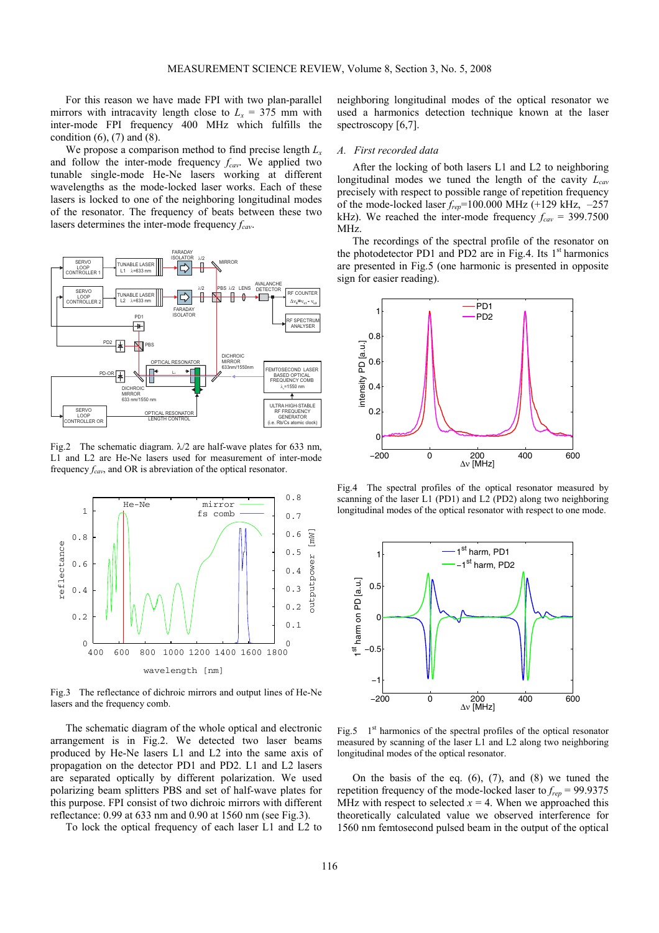For this reason we have made FPI with two plan-parallel mirrors with intracavity length close to  $L_x = 375$  mm with inter-mode FPI frequency 400 MHz which fulfills the condition  $(6)$ ,  $(7)$  and  $(8)$ .

We propose a comparison method to find precise length *Lx* and follow the inter-mode frequency  $f_{cav}$ . We applied two tunable single-mode He-Ne lasers working at different wavelengths as the mode-locked laser works. Each of these lasers is locked to one of the neighboring longitudinal modes of the resonator. The frequency of beats between these two lasers determines the inter-mode frequency  $f_{cav}$ .



Fig.2 The schematic diagram.  $\lambda/2$  are half-wave plates for 633 nm, L1 and L2 are He-Ne lasers used for measurement of inter-mode frequency *fcav*, and OR is abreviation of the optical resonator.



Fig.3 The reflectance of dichroic mirrors and output lines of He-Ne lasers and the frequency comb.

The schematic diagram of the whole optical and electronic arrangement is in Fig.2. We detected two laser beams produced by He-Ne lasers L1 and L2 into the same axis of propagation on the detector PD1 and PD2. L1 and L2 lasers are separated optically by different polarization. We used polarizing beam splitters PBS and set of half-wave plates for this purpose. FPI consist of two dichroic mirrors with different reflectance: 0.99 at 633 nm and 0.90 at 1560 nm (see Fig.3).

To lock the optical frequency of each laser L1 and L2 to

neighboring longitudinal modes of the optical resonator we used a harmonics detection technique known at the laser spectroscopy [6,7].

## *A. First recorded data*

After the locking of both lasers L1 and L2 to neighboring longitudinal modes we tuned the length of the cavity  $L_{cav}$ precisely with respect to possible range of repetition frequency of the mode-locked laser *frep*=100.000 MHz (+129 kHz, –257 kHz). We reached the inter-mode frequency  $f_{cav} = 399.7500$ MHz.

The recordings of the spectral profile of the resonator on the photodetector PD1 and PD2 are in Fig.4. Its  $1<sup>st</sup>$  harmonics are presented in Fig.5 (one harmonic is presented in opposite sign for easier reading).



Fig.4 The spectral profiles of the optical resonator measured by scanning of the laser L1 (PD1) and L2 (PD2) along two neighboring longitudinal modes of the optical resonator with respect to one mode.



Fig.5  $1<sup>st</sup>$  harmonics of the spectral profiles of the optical resonator measured by scanning of the laser L1 and L2 along two neighboring longitudinal modes of the optical resonator.

On the basis of the eq.  $(6)$ ,  $(7)$ , and  $(8)$  we tuned the repetition frequency of the mode-locked laser to  $f_{rep}$  = 99.9375 MHz with respect to selected  $x = 4$ . When we approached this theoretically calculated value we observed interference for 1560 nm femtosecond pulsed beam in the output of the optical